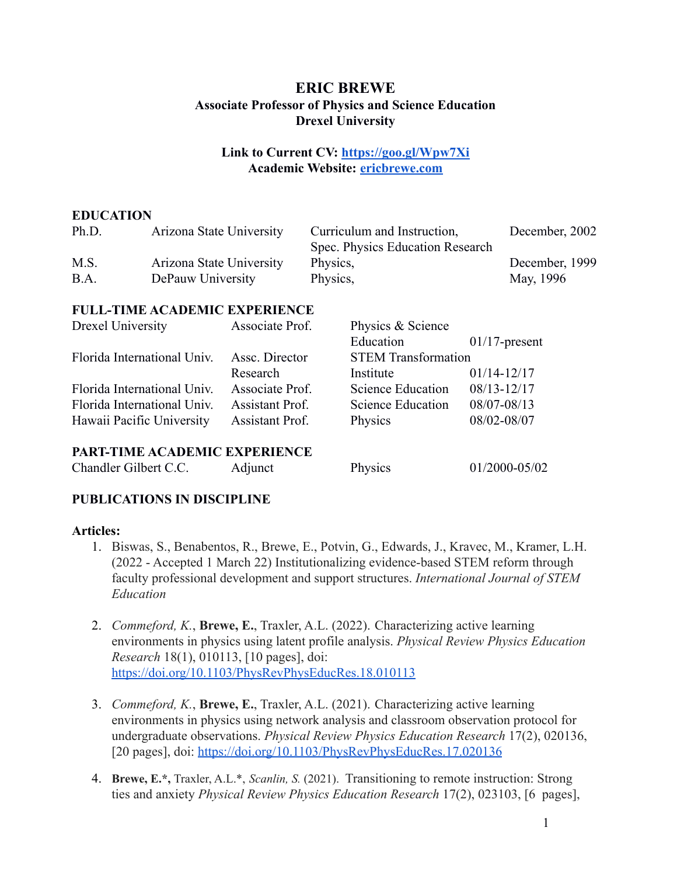# **ERIC BREWE Associate Professor of Physics and Science Education Drexel University**

# **Link to Current CV: <https://goo.gl/Wpw7Xi> Academic Website: [ericbrewe.com](https://ericbrewe.com/)**

# **EDUCATION**

| Ph.D. | Arizona State University | Curriculum and Instruction,      | December, 2002 |
|-------|--------------------------|----------------------------------|----------------|
|       |                          | Spec. Physics Education Research |                |
| M.S.  | Arizona State University | Physics,                         | December, 1999 |
| B.A.  | DePauw University        | Physics.                         | May, 1996      |

# **FULL-TIME ACADEMIC EXPERIENCE**

| Associate Prof. | Physics & Science          |                  |
|-----------------|----------------------------|------------------|
|                 | Education                  | $01/17$ -present |
| Assc. Director  | <b>STEM Transformation</b> |                  |
| Research        | Institute                  | $01/14 - 12/17$  |
| Associate Prof. | Science Education          | 08/13-12/17      |
| Assistant Prof. | Science Education          | 08/07-08/13      |
| Assistant Prof. | Physics                    | 08/02-08/07      |
|                 |                            |                  |
|                 |                            |                  |

# **PART-TIME ACADEMIC EXPERIENCE**

Chandler Gilbert C.C. Adjunct Physics 01/2000-05/02

# **PUBLICATIONS IN DISCIPLINE**

# **Articles:**

- 1. Biswas, S., Benabentos, R., Brewe, E., Potvin, G., Edwards, J., Kravec, M., Kramer, L.H. (2022 - Accepted 1 March 22) Institutionalizing evidence-based STEM reform through faculty professional development and support structures. *International Journal of STEM Education*
- 2. *Commeford, K.*, **Brewe, E.**, Traxler, A.L. (2022). Characterizing active learning environments in physics using latent profile analysis. *Physical Review Physics Education Research* 18(1), 010113, [10 pages], doi: <https://doi.org/10.1103/PhysRevPhysEducRes.18.010113>
- 3. *Commeford, K.*, **Brewe, E.**, Traxler, A.L. (2021). Characterizing active learning environments in physics using network analysis and classroom observation protocol for undergraduate observations. *Physical Review Physics Education Research* 17(2), 020136, [20 pages], doi: <https://doi.org/10.1103/PhysRevPhysEducRes.17.020136>
- 4. **Brewe, E.\*,** Traxler, A.L.\*, *Scanlin, S.* (2021). Transitioning to remote instruction: Strong ties and anxiety *Physical Review Physics Education Research* 17(2), 023103, [6 pages],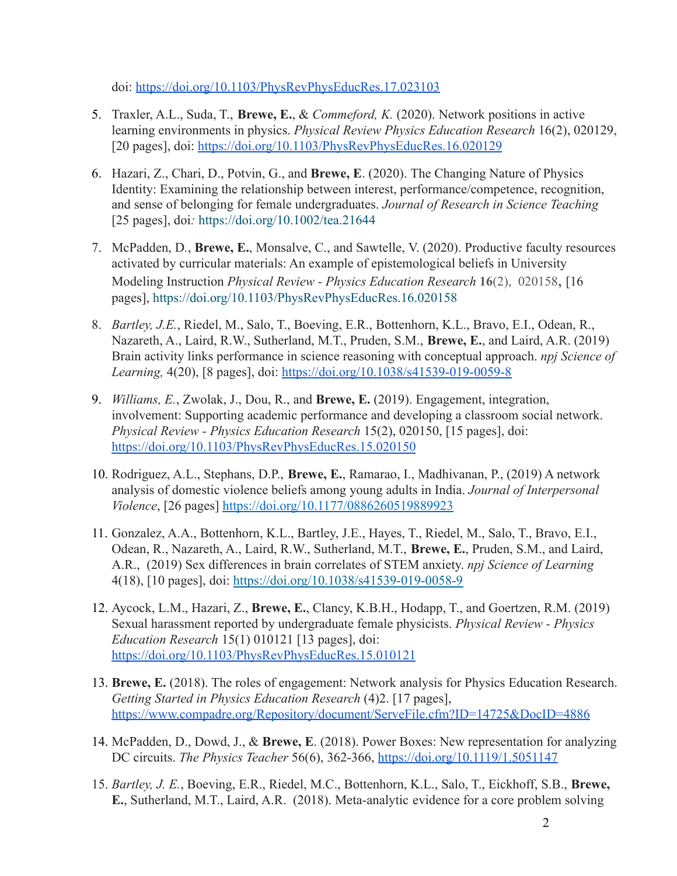doi: <https://doi.org/10.1103/PhysRevPhysEducRes.17.023103>

- 5. Traxler, A.L., Suda, T., **Brewe, E.**, & *Commeford, K.* (2020). Network positions in active learning environments in physics. *Physical Review Physics Education Research* 16(2), 020129, [20 pages], doi: <https://doi.org/10.1103/PhysRevPhysEducRes.16.020129>
- 6. Hazari, Z., Chari, D., Potvin, G., and **Brewe, E**. (2020). The Changing Nature of Physics Identity: Examining the relationship between interest, performance/competence, recognition, and sense of belonging for female undergraduates. *Journal of Research in Science Teaching* [25 pages], doi*:* <https://doi.org/10.1002/tea.21644>
- 7. McPadden, D*.*, **Brewe, E.**, Monsalve, C., and Sawtelle, V. (2020). Productive faculty resources activated by curricular materials: An example of epistemological beliefs in University Modeling Instruction *Physical Review - Physics Education Research* **16**(2), 020158, [16 pages], https://doi.org/10.1103/PhysRevPhysEducRes.16.020158
- 8. *Bartley, J.E.*, Riedel, M., Salo, T., Boeving, E.R., Bottenhorn, K.L., Bravo, E.I., Odean, R., Nazareth, A., Laird, R.W., Sutherland, M.T., Pruden, S.M., **Brewe, E.**, and Laird, A.R. (2019) Brain activity links performance in science reasoning with conceptual approach. *npj Science of Learning,* 4(20), [8 pages], doi: <https://doi.org/10.1038/s41539-019-0059-8>
- 9. *Williams, E.*, Zwolak, J., Dou, R., and **Brewe, E.** (2019). Engagement, integration, involvement: Supporting academic performance and developing a classroom social network. *Physical Review - Physics Education Research* 15(2), 020150, [15 pages], doi: <https://doi.org/10.1103/PhysRevPhysEducRes.15.020150>
- 10. Rodriguez, A.L., Stephans, D.P., **Brewe, E.**, Ramarao, I., Madhivanan, P., (2019) A network analysis of domestic violence beliefs among young adults in India. *Journal of Interpersonal Violence*, [26 pages] <https://doi.org/10.1177/0886260519889923>
- 11. Gonzalez, A.A., Bottenhorn, K.L., Bartley, J.E., Hayes, T., Riedel, M., Salo, T., Bravo, E.I., Odean, R., Nazareth, A., Laird, R.W., Sutherland, M.T., **Brewe, E.**, Pruden, S.M., and Laird, A.R., (2019) Sex differences in brain correlates of STEM anxiety. *npj Science of Learning* 4(18), [10 pages], doi: <https://doi.org/10.1038/s41539-019-0058-9>
- 12. Aycock, L.M., Hazari, Z., **Brewe, E.**, Clancy, K.B.H., Hodapp, T., and Goertzen, R.M. (2019) Sexual harassment reported by undergraduate female physicists. *Physical Review - Physics Education Research* 15(1) 010121 [13 pages], doi: <https://doi.org/10.1103/PhysRevPhysEducRes.15.010121>
- 13. **Brewe, E.** (2018). The roles of engagement: Network analysis for Physics Education Research. *Getting Started in Physics Education Research* (4)2. [17 pages], <https://www.compadre.org/Repository/document/ServeFile.cfm?ID=14725&DocID=4886>
- 14. McPadden, D., Dowd, J., & **Brewe, E**. (2018). Power Boxes: New representation for analyzing DC circuits. *The Physics Teacher* 56(6), 362-366, <https://doi.org/10.1119/1.5051147>
- 15. *Bartley, J. E.*, Boeving, E.R., Riedel, M.C., Bottenhorn, K.L., Salo, T., Eickhoff, S.B., **Brewe, E.**, Sutherland, M.T., Laird, A.R. (2018). Meta-analytic evidence for a core problem solving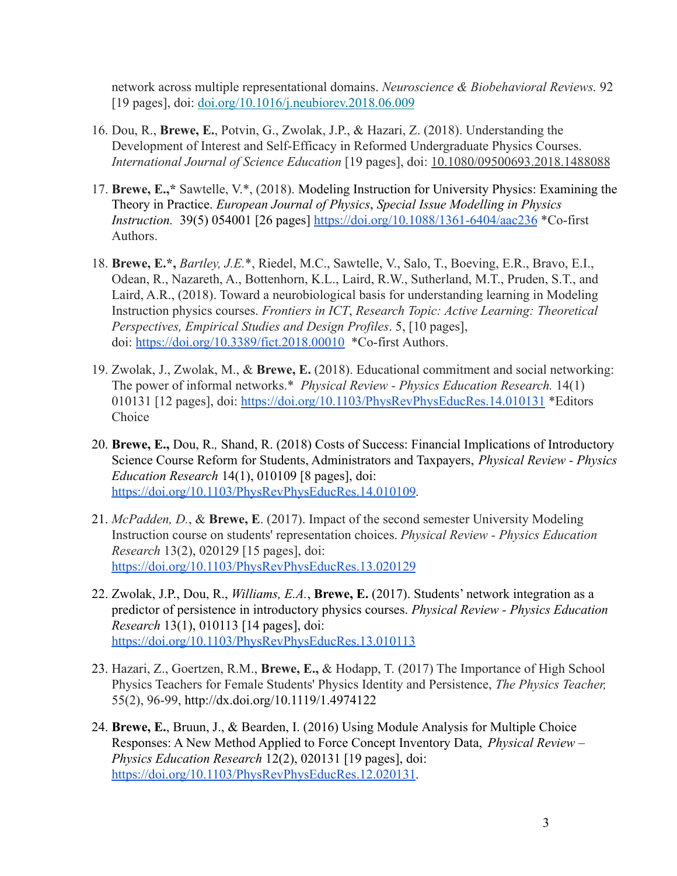network across multiple representational domains. *Neuroscience & Biobehavioral Reviews.* 92 [19 pages], doi: [doi.org/10.1016/j.neubiorev.2018.06.009](https://doi.org/10.1016/j.neubiorev.2018.06.009)

- 16. Dou, R., **Brewe, E.**, Potvin, G., Zwolak, J.P., & Hazari, Z. (2018). Understanding the Development of Interest and Self-Efficacy in Reformed Undergraduate Physics Courses. *International Journal of Science Education* [19 pages], doi: [10.1080/09500693.2018.1488088](https://doi.org/10.1080/09500693.2018.1488088)
- 17. **Brewe, E.,\*** Sawtelle, V.\*, (2018). Modeling Instruction for University Physics: Examining the Theory in Practice. *European Journal of Physics*, *Special Issue Modelling in Physics Instruction.* 39(5) 054001 [26 pages] <https://doi.org/10.1088/1361-6404/aac236> \*Co-first Authors.
- 18. **Brewe, E.\*,** *Bartley, J.E.*\*, Riedel, M.C., Sawtelle, V., Salo, T., Boeving, E.R., Bravo, E.I., Odean, R., Nazareth, A., Bottenhorn, K.L., Laird, R.W., Sutherland, M.T., Pruden, S.T., and Laird, A.R., (2018). Toward a neurobiological basis for understanding learning in Modeling Instruction physics courses. *Frontiers in ICT*, *Research Topic: Active Learning: Theoretical Perspectives, Empirical Studies and Design Profiles*. 5, [10 pages], doi: <https://doi.org/10.3389/fict.2018.00010> \*Co-first Authors.
- 19. Zwolak, J., Zwolak, M., & **Brewe, E.** (2018). Educational commitment and social networking: The power of informal networks.\* *Physical Review - Physics Education Research.* 14(1) 010131 [12 pages], doi: <https://doi.org/10.1103/PhysRevPhysEducRes.14.010131> \*Editors Choice
- 20. **Brewe, E.,** Dou, R.*,* Shand, R. (2018) Costs of Success: Financial Implications of Introductory Science Course Reform for Students, Administrators and Taxpayers, *Physical Review - Physics Education Research* 14(1), 010109 [8 pages], doi: <https://doi.org/10.1103/PhysRevPhysEducRes.14.010109>*.*
- 21. *McPadden, D.*, & **Brewe, E**. (2017). Impact of the second semester University Modeling Instruction course on students' representation choices. *Physical Review - Physics Education Research* 13(2), 020129 [15 pages], doi: <https://doi.org/10.1103/PhysRevPhysEducRes.13.020129>
- 22. Zwolak, J.P., Dou, R., *Williams, E.A.*, **Brewe, E.** (2017). Students' network integration as a predictor of persistence in introductory physics courses. *Physical Review - Physics Education Research* 13(1), 010113 [14 pages], doi: <https://doi.org/10.1103/PhysRevPhysEducRes.13.010113>
- 23. Hazari, Z., Goertzen, R.M., **Brewe, E.,** & Hodapp, T. (2017) The Importance of High School Physics Teachers for Female Students' Physics Identity and Persistence, *The Physics Teacher,* 55(2), 96-99, <http://dx.doi.org/10.1119/1.4974122>
- 24. **Brewe, E.**, Bruun, J., & Bearden, I. (2016) Using Module Analysis for Multiple Choice Responses: A New Method Applied to Force Concept Inventory Data, *Physical Review – Physics Education Research* 12(2), 020131 [19 pages], doi: <https://doi.org/10.1103/PhysRevPhysEducRes.12.020131>*.*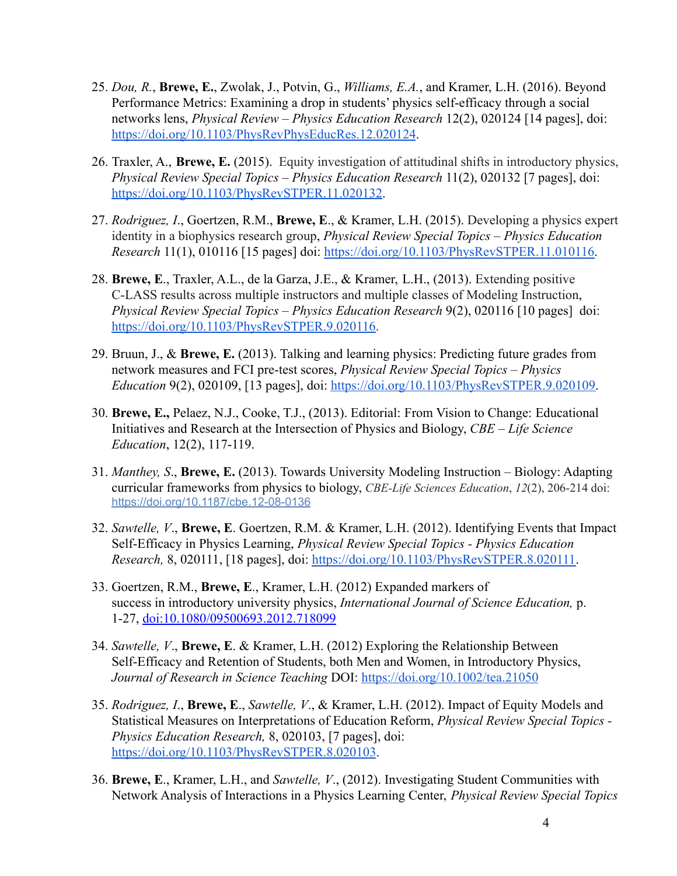- 25. *Dou, R.*, **Brewe, E.**, Zwolak, J., Potvin, G., *Williams, E.A.*, and Kramer, L.H. (2016). Beyond Performance Metrics: Examining a drop in students' physics self-efficacy through a social networks lens, *Physical Review – Physics Education Research* 12(2), 020124 [14 pages], doi: <https://doi.org/10.1103/PhysRevPhysEducRes.12.020124>.
- 26. Traxler, A., **Brewe, E.** (2015). Equity investigation of attitudinal shifts in introductory physics, *Physical Review Special Topics – Physics Education Research* 11(2), 020132 [7 pages], doi: [https://doi.org/10.1103/PhysRevSTPER.11.020132.](https://doi.org/10.1103/PhysRevSTPER.11.020132)
- 27. *Rodriguez, I*., Goertzen, R.M., **Brewe, E**., & Kramer, L.H. (2015). Developing a physics expert identity in a biophysics research group, *Physical Review Special Topics – Physics Education Research* 11(1), 010116 [15 pages] doi: [https://doi.org/10.1103/PhysRevSTPER.11.010116.](https://doi.org/10.1103/PhysRevSTPER.11.010116)
- 28. **Brewe, E**., Traxler, A.L., de la Garza, J.E., & Kramer, L.H., (2013). Extending positive C-LASS results across multiple instructors and multiple classes of Modeling Instruction, *Physical Review Special Topics – Physics Education Research* 9(2), 020116 [10 pages] doi: [https://doi.org/10.1103/PhysRevSTPER.9.020116.](https://doi.org/10.1103/PhysRevSTPER.9.020116)
- 29. Bruun, J., & **Brewe, E.** (2013). Talking and learning physics: Predicting future grades from network measures and FCI pre-test scores, *Physical Review Special Topics – Physics Education* 9(2), 020109, [13 pages], doi: [https://doi.org/10.1103/PhysRevSTPER.9.020109.](https://doi.org/10.1103/PhysRevSTPER.9.020109)
- 30. **Brewe, E.,** Pelaez, N.J., Cooke, T.J., (2013). Editorial: From Vision to Change: Educational Initiatives and Research at the Intersection of Physics and Biology, *CBE – Life Science Education*, 12(2), 117-119.
- 31. *Manthey, S*., **Brewe, E.** (2013). Towards University Modeling Instruction Biology: Adapting curricular frameworks from physics to biology, *CBE-Life Sciences Education*, *12*(2), 206-214 doi: <https://doi.org/10.1187/cbe.12-08-0136>
- 32. *Sawtelle, V*., **Brewe, E**. Goertzen, R.M. & Kramer, L.H. (2012). Identifying Events that Impact Self-Efficacy in Physics Learning, *Physical Review Special Topics - Physics Education Research,* 8, 020111, [18 pages], doi: [https://doi.org/10.1103/PhysRevSTPER.8.020111.](https://doi.org/10.1103/PhysRevSTPER.8.020111)
- 33. Goertzen, R.M., **Brewe, E**., Kramer, L.H. (2012) Expanded markers of success in introductory university physics, *International Journal of Science Education,* p. 1-27, [doi:10.1080/09500693.2012.718099](http://dx.doi.org/10.1080/09500693.2012.718099)
- 34. *Sawtelle, V*., **Brewe, E**. & Kramer, L.H. (2012) Exploring the Relationship Between Self-Efficacy and Retention of Students, both Men and Women, in Introductory Physics, *Journal of Research in Science Teaching* DOI: <https://doi.org/10.1002/tea.21050>
- 35. *Rodriguez, I*., **Brewe, E**., *Sawtelle, V*., & Kramer, L.H. (2012). Impact of Equity Models and Statistical Measures on Interpretations of Education Reform, *Physical Review Special Topics - Physics Education Research,* 8, 020103, [7 pages], doi: <https://doi.org/10.1103/PhysRevSTPER.8.020103>.
- 36. **Brewe, E**., Kramer, L.H., and *Sawtelle, V*., (2012). Investigating Student Communities with Network Analysis of Interactions in a Physics Learning Center, *Physical Review Special Topics*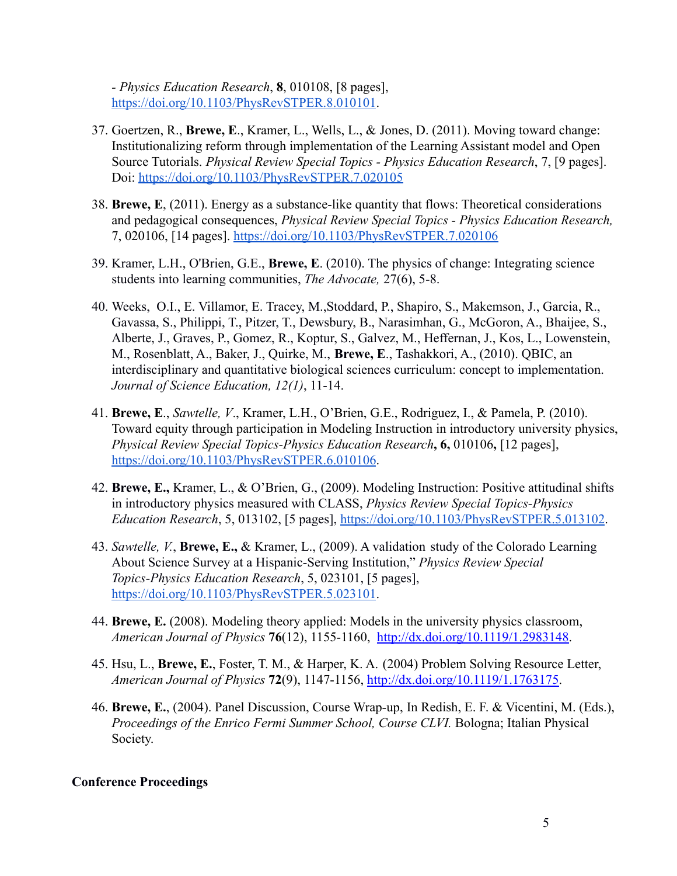*- Physics Education Research*, **8**, 010108, [8 pages], <https://doi.org/10.1103/PhysRevSTPER.8.010101>.

- 37. Goertzen, R., **Brewe, E**., Kramer, L., Wells, L., & Jones, D. (2011). Moving toward change: Institutionalizing reform through implementation of the Learning Assistant model and Open Source Tutorials. *Physical Review Special Topics - Physics Education Research*, 7, [9 pages]. Doi: <https://doi.org/10.1103/PhysRevSTPER.7.020105>
- 38. **Brewe, E**, (2011). Energy as a substance-like quantity that flows: Theoretical considerations and pedagogical consequences, *Physical Review Special Topics - Physics Education Research,* 7, 020106, [14 pages]. <https://doi.org/10.1103/PhysRevSTPER.7.020106>
- 39. Kramer, L.H., O'Brien, G.E., **Brewe, E**. (2010). The physics of change: Integrating science students into learning communities, *The Advocate,* 27(6), 5-8.
- 40. Weeks, O.I., E. Villamor, E. Tracey, M.,Stoddard, P., Shapiro, S., Makemson, J., Garcia, R., Gavassa, S., Philippi, T., Pitzer, T., Dewsbury, B., Narasimhan, G., McGoron, A., Bhaijee, S., Alberte, J., Graves, P., Gomez, R., Koptur, S., Galvez, M., Heffernan, J., Kos, L., Lowenstein, M., Rosenblatt, A., Baker, J., Quirke, M., **Brewe, E**., Tashakkori, A., (2010). QBIC, an interdisciplinary and quantitative biological sciences curriculum: concept to implementation. *Journal of Science Education, 12(1)*, 11-14.
- 41. **Brewe, E**., *Sawtelle, V*., Kramer, L.H., O'Brien, G.E., Rodriguez, I., & Pamela, P. (2010). Toward equity through participation in Modeling Instruction in introductory university physics, *Physical Review Special Topics-Physics Education Research***, 6,** 010106**,** [12 pages], <https://doi.org/10.1103/PhysRevSTPER.6.010106>.
- 42. **Brewe, E.,** Kramer, L., & O'Brien, G., (2009). Modeling Instruction: Positive attitudinal shifts in introductory physics measured with CLASS, *Physics Review Special Topics-Physics Education Research*, 5, 013102, [5 pages], <https://doi.org/10.1103/PhysRevSTPER.5.013102>.
- 43. *Sawtelle, V.*, **Brewe, E.,** & Kramer, L., (2009). A validation study of the Colorado Learning About Science Survey at a Hispanic-Serving Institution," *Physics Review Special Topics-Physics Education Research*, 5, 023101, [5 pages], <https://doi.org/10.1103/PhysRevSTPER.5.023101>.
- 44. **Brewe, E.** (2008). Modeling theory applied: Models in the university physics classroom, *American Journal of Physics* **76**(12), 1155-1160, [http://dx.doi.org/10.1119/1.2983148.](http://dx.doi.org/10.1119/1.2983148)
- 45. Hsu, L., **Brewe, E.**, Foster, T. M., & Harper, K. A. (2004) Problem Solving Resource Letter, *American Journal of Physics* **72**(9), 1147-1156, [http://dx.doi.org/10.1119/1.1763175.](http://dx.doi.org/10.1119/1.1763175)
- 46. **Brewe, E.**, (2004). Panel Discussion, Course Wrap-up, In Redish, E. F. & Vicentini, M. (Eds.), *Proceedings of the Enrico Fermi Summer School, Course CLVI.* Bologna; Italian Physical Society.

#### **Conference Proceedings**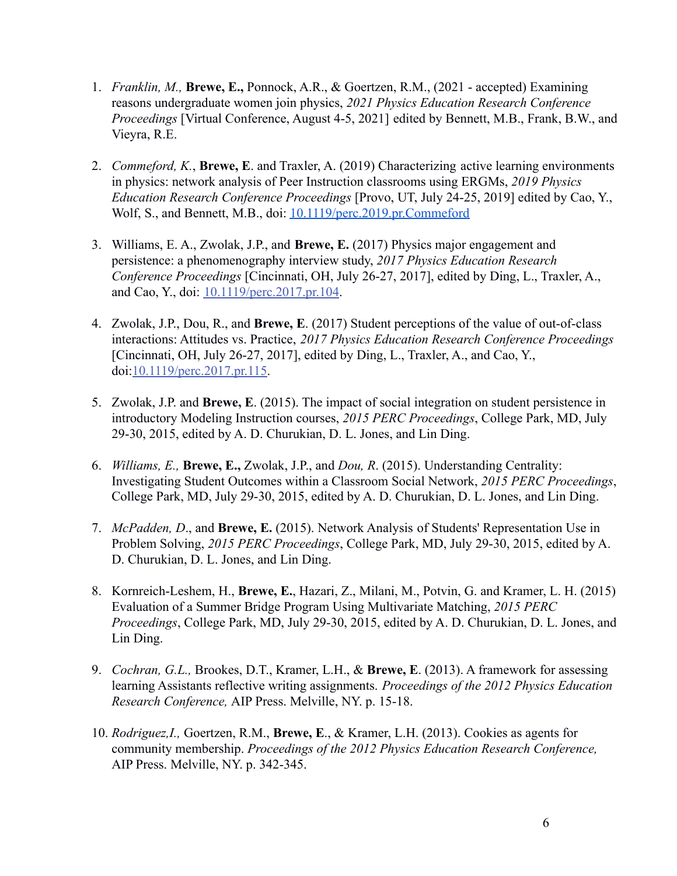- 1. *Franklin, M.,* **Brewe, E.,** Ponnock, A.R., & Goertzen, R.M., (2021 accepted) Examining reasons undergraduate women join physics, *2021 Physics Education Research Conference Proceedings* [Virtual Conference, August 4-5, 2021] edited by Bennett, M.B., Frank, B.W., and Vieyra, R.E.
- 2. *Commeford, K.*, **Brewe, E**. and Traxler, A. (2019) Characterizing active learning environments in physics: network analysis of Peer Instruction classrooms using ERGMs, *2019 Physics Education Research Conference Proceedings* [Provo, UT, July 24-25, 2019] edited by Cao, Y., Wolf, S., and Bennett, M.B., doi: [10.1119/perc.2019.pr.Commeford](http://dx.doi.org/10.1119/perc.2019.pr.Commeford)
- 3. Williams, E. A., Zwolak, J.P., and **Brewe, E.** (2017) Physics major engagement and persistence: a phenomenography interview study, *2017 Physics Education Research Conference Proceedings* [Cincinnati, OH, July 26-27, 2017], edited by Ding, L., Traxler, A., and Cao, Y., doi: [10.1119/perc.2017.pr.104.](http://dx.doi.org/10.1119/perc.2017.pr.104)
- 4. Zwolak, J.P., Dou, R., and **Brewe, E**. (2017) Student perceptions of the value of out-of-class interactions: Attitudes vs. Practice, *2017 Physics Education Research Conference Proceedings* [Cincinnati, OH, July 26-27, 2017], edited by Ding, L., Traxler, A., and Cao, Y., doi:[10.1119/perc.2017.pr.115.](http://dx.doi.org/10.1119/perc.2017.pr.115)
- 5. Zwolak, J.P. and **Brewe, E**. (2015). The impact of social integration on student persistence in introductory Modeling Instruction courses, *2015 PERC Proceedings*, College Park, MD, July 29-30, 2015, edited by A. D. Churukian, D. L. Jones, and Lin Ding.
- 6. *Williams, E.,* **Brewe, E.,** Zwolak, J.P., and *Dou, R*. (2015). Understanding Centrality: Investigating Student Outcomes within a Classroom Social Network, *2015 PERC Proceedings*, College Park, MD, July 29-30, 2015, edited by A. D. Churukian, D. L. Jones, and Lin Ding.
- 7. *McPadden, D*., and **Brewe, E.** (2015). Network Analysis of Students' Representation Use in Problem Solving, *2015 PERC Proceedings*, College Park, MD, July 29-30, 2015, edited by A. D. Churukian, D. L. Jones, and Lin Ding.
- 8. Kornreich-Leshem, H., **Brewe, E.**, Hazari, Z., Milani, M., Potvin, G. and Kramer, L. H. (2015) Evaluation of a Summer Bridge Program Using Multivariate Matching, *2015 PERC Proceedings*, College Park, MD, July 29-30, 2015, edited by A. D. Churukian, D. L. Jones, and Lin Ding.
- 9. *Cochran, G.L.,* Brookes, D.T., Kramer, L.H., & **Brewe, E**. (2013). A framework for assessing learning Assistants reflective writing assignments. *Proceedings of the 2012 Physics Education Research Conference,* AIP Press. Melville, NY. p. 15-18.
- 10. *Rodriguez,I.,* Goertzen, R.M., **Brewe, E**., & Kramer, L.H. (2013). Cookies as agents for community membership. *Proceedings of the 2012 Physics Education Research Conference,* AIP Press. Melville, NY. p. 342-345.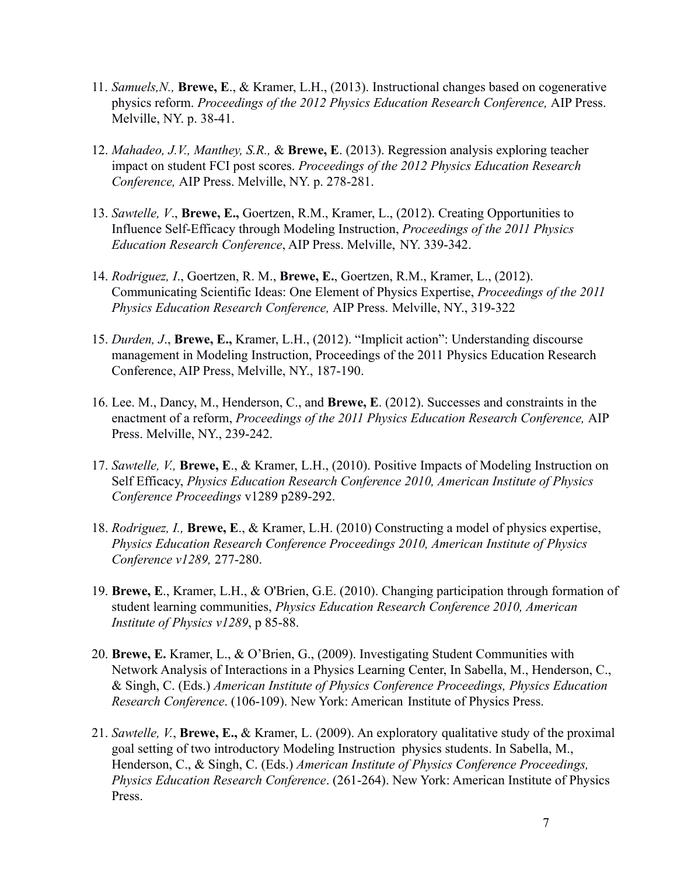- 11. *Samuels,N.,* **Brewe, E**., & Kramer, L.H., (2013). Instructional changes based on cogenerative physics reform. *Proceedings of the 2012 Physics Education Research Conference,* AIP Press. Melville, NY. p. 38-41.
- 12. *Mahadeo, J.V., Manthey, S.R.,* & **Brewe, E**. (2013). Regression analysis exploring teacher impact on student FCI post scores. *Proceedings of the 2012 Physics Education Research Conference,* AIP Press. Melville, NY. p. 278-281.
- 13. *Sawtelle, V*., **Brewe, E.,** Goertzen, R.M., Kramer, L., (2012). Creating Opportunities to Influence Self-Efficacy through Modeling Instruction, *Proceedings of the 2011 Physics Education Research Conference*, AIP Press. Melville, NY. 339-342.
- 14. *Rodriguez, I*., Goertzen, R. M., **Brewe, E.**, Goertzen, R.M., Kramer, L., (2012). Communicating Scientific Ideas: One Element of Physics Expertise, *Proceedings of the 2011 Physics Education Research Conference,* AIP Press. Melville, NY., 319-322
- 15. *Durden, J*., **Brewe, E.,** Kramer, L.H., (2012). "Implicit action": Understanding discourse management in Modeling Instruction, Proceedings of the 2011 Physics Education Research Conference, AIP Press, Melville, NY., 187-190.
- 16. Lee. M., Dancy, M., Henderson, C., and **Brewe, E**. (2012). Successes and constraints in the enactment of a reform, *Proceedings of the 2011 Physics Education Research Conference,* AIP Press. Melville, NY., 239-242.
- 17. *Sawtelle, V.,* **Brewe, E**., & Kramer, L.H., (2010). Positive Impacts of Modeling Instruction on Self Efficacy, *Physics Education Research Conference 2010, American Institute of Physics Conference Proceedings* v1289 p289-292.
- 18. *Rodriguez, I.,* **Brewe, E**., & Kramer, L.H. (2010) Constructing a model of physics expertise, *Physics Education Research Conference Proceedings 2010, American Institute of Physics Conference v1289,* 277-280.
- 19. **Brewe, E**., Kramer, L.H., & O'Brien, G.E. (2010). Changing participation through formation of student learning communities, *Physics Education Research Conference 2010, American Institute of Physics v1289*, p 85-88.
- 20. **Brewe, E.** Kramer, L., & O'Brien, G., (2009). Investigating Student Communities with Network Analysis of Interactions in a Physics Learning Center, In Sabella, M., Henderson, C., & Singh, C. (Eds.) *American Institute of Physics Conference Proceedings, Physics Education Research Conference*. (106-109). New York: American Institute of Physics Press.
- 21. *Sawtelle, V.*, **Brewe, E.,** & Kramer, L. (2009). An exploratory qualitative study of the proximal goal setting of two introductory Modeling Instruction physics students. In Sabella, M., Henderson, C., & Singh, C. (Eds.) *American Institute of Physics Conference Proceedings, Physics Education Research Conference*. (261-264). New York: American Institute of Physics Press.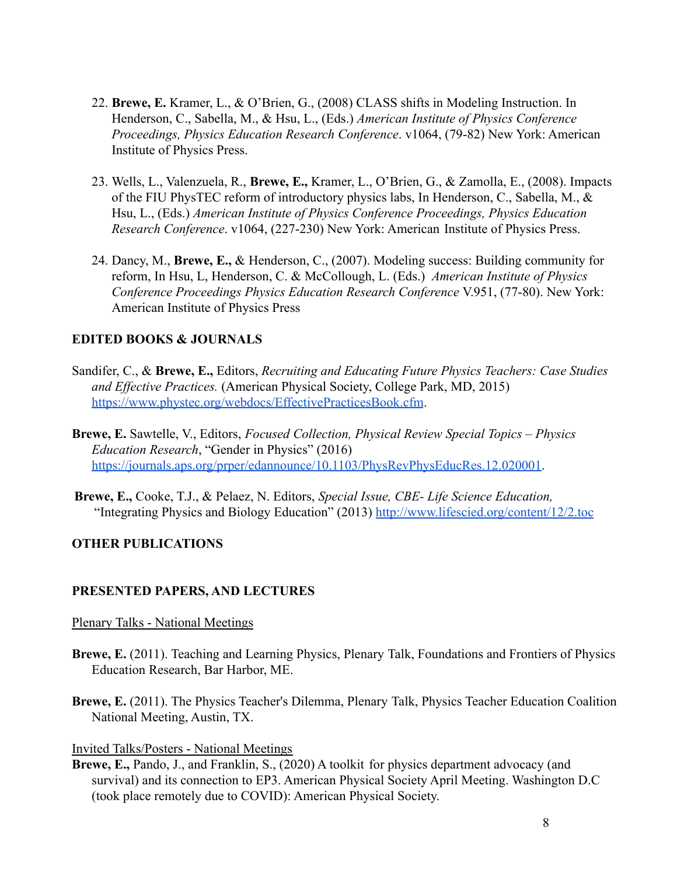- 22. **Brewe, E.** Kramer, L., & O'Brien, G., (2008) CLASS shifts in Modeling Instruction. In Henderson, C., Sabella, M., & Hsu, L., (Eds.) *American Institute of Physics Conference Proceedings, Physics Education Research Conference*. v1064, (79-82) New York: American Institute of Physics Press.
- 23. Wells, L., Valenzuela, R., **Brewe, E.,** Kramer, L., O'Brien, G., & Zamolla, E., (2008). Impacts of the FIU PhysTEC reform of introductory physics labs, In Henderson, C., Sabella, M., & Hsu, L., (Eds.) *American Institute of Physics Conference Proceedings, Physics Education Research Conference*. v1064, (227-230) New York: American Institute of Physics Press.
- 24. Dancy, M., **Brewe, E.,** & Henderson, C., (2007). Modeling success: Building community for reform, In Hsu, L, Henderson, C. & McCollough, L. (Eds.) *American Institute of Physics Conference Proceedings Physics Education Research Conference* V.951, (77-80). New York: American Institute of Physics Press

# **EDITED BOOKS & JOURNALS**

- Sandifer, C., & **Brewe, E.,** Editors, *Recruiting and Educating Future Physics Teachers: Case Studies and Effective Practices.* (American Physical Society, College Park, MD, 2015) <https://www.phystec.org/webdocs/EffectivePracticesBook.cfm>.
- **Brewe, E.** Sawtelle, V., Editors, *Focused Collection, Physical Review Special Topics Physics Education Research*, "Gender in Physics" (2016) [https://journals.aps.org/prper/edannounce/10.1103/PhysRevPhysEducRes.12.020001.](https://journals.aps.org/prper/edannounce/10.1103/PhysRevPhysEducRes.12.020001)
- **Brewe, E.,** Cooke, T.J., & Pelaez, N. Editors, *Special Issue, CBE- Life Science Education,* "Integrating Physics and Biology Education" (2013) <http://www.lifescied.org/content/12/2.toc>

# **OTHER PUBLICATIONS**

#### **PRESENTED PAPERS, AND LECTURES**

#### Plenary Talks - National Meetings

- **Brewe, E.** (2011). Teaching and Learning Physics, Plenary Talk, Foundations and Frontiers of Physics Education Research, Bar Harbor, ME.
- **Brewe, E.** (2011). The Physics Teacher's Dilemma, Plenary Talk, Physics Teacher Education Coalition National Meeting, Austin, TX.

#### Invited Talks/Posters - National Meetings

**Brewe, E.,** Pando, J., and Franklin, S., (2020) A toolkit for physics department advocacy (and survival) and its connection to EP3. American Physical Society April Meeting. Washington D.C (took place remotely due to COVID): American Physical Society.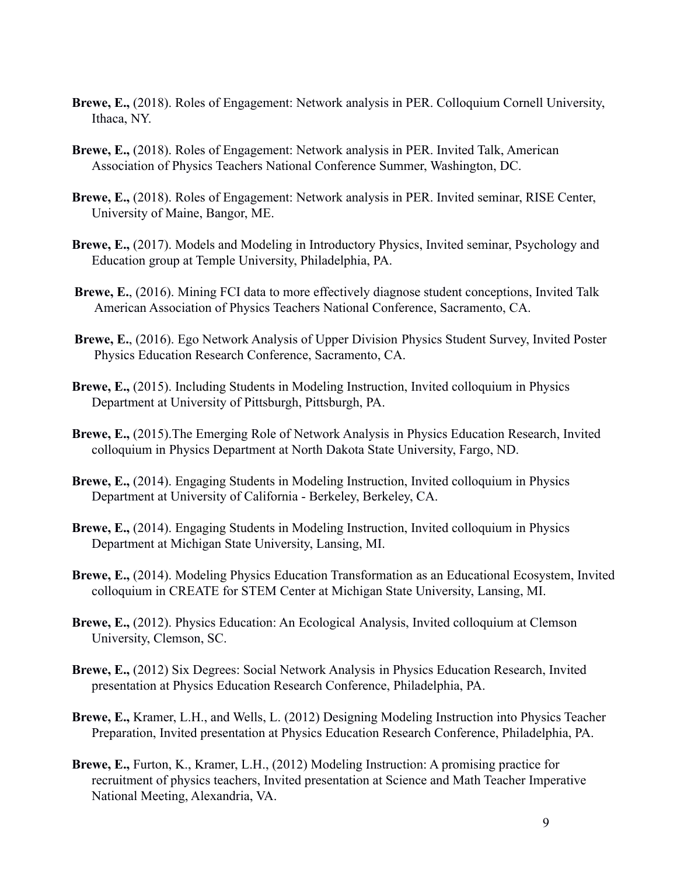- **Brewe, E.,** (2018). Roles of Engagement: Network analysis in PER. Colloquium Cornell University, Ithaca, NY.
- **Brewe, E.,** (2018). Roles of Engagement: Network analysis in PER. Invited Talk, American Association of Physics Teachers National Conference Summer, Washington, DC.
- **Brewe, E.,** (2018). Roles of Engagement: Network analysis in PER. Invited seminar, RISE Center, University of Maine, Bangor, ME.
- **Brewe, E.,** (2017). Models and Modeling in Introductory Physics, Invited seminar, Psychology and Education group at Temple University, Philadelphia, PA.
- **Brewe, E.**, (2016). Mining FCI data to more effectively diagnose student conceptions, Invited Talk American Association of Physics Teachers National Conference, Sacramento, CA.
- **Brewe, E.**, (2016). Ego Network Analysis of Upper Division Physics Student Survey, Invited Poster Physics Education Research Conference, Sacramento, CA.
- **Brewe, E.,** (2015). Including Students in Modeling Instruction, Invited colloquium in Physics Department at University of Pittsburgh, Pittsburgh, PA.
- **Brewe, E.,** (2015).The Emerging Role of Network Analysis in Physics Education Research, Invited colloquium in Physics Department at North Dakota State University, Fargo, ND.
- **Brewe, E.,** (2014). Engaging Students in Modeling Instruction, Invited colloquium in Physics Department at University of California - Berkeley, Berkeley, CA.
- **Brewe, E.,** (2014). Engaging Students in Modeling Instruction, Invited colloquium in Physics Department at Michigan State University, Lansing, MI.
- **Brewe, E.,** (2014). Modeling Physics Education Transformation as an Educational Ecosystem, Invited colloquium in CREATE for STEM Center at Michigan State University, Lansing, MI.
- **Brewe, E.,** (2012). Physics Education: An Ecological Analysis, Invited colloquium at Clemson University, Clemson, SC.
- **Brewe, E.,** (2012) Six Degrees: Social Network Analysis in Physics Education Research, Invited presentation at Physics Education Research Conference, Philadelphia, PA.
- **Brewe, E.,** Kramer, L.H., and Wells, L. (2012) Designing Modeling Instruction into Physics Teacher Preparation, Invited presentation at Physics Education Research Conference, Philadelphia, PA.
- **Brewe, E.,** Furton, K., Kramer, L.H., (2012) Modeling Instruction: A promising practice for recruitment of physics teachers, Invited presentation at Science and Math Teacher Imperative National Meeting, Alexandria, VA.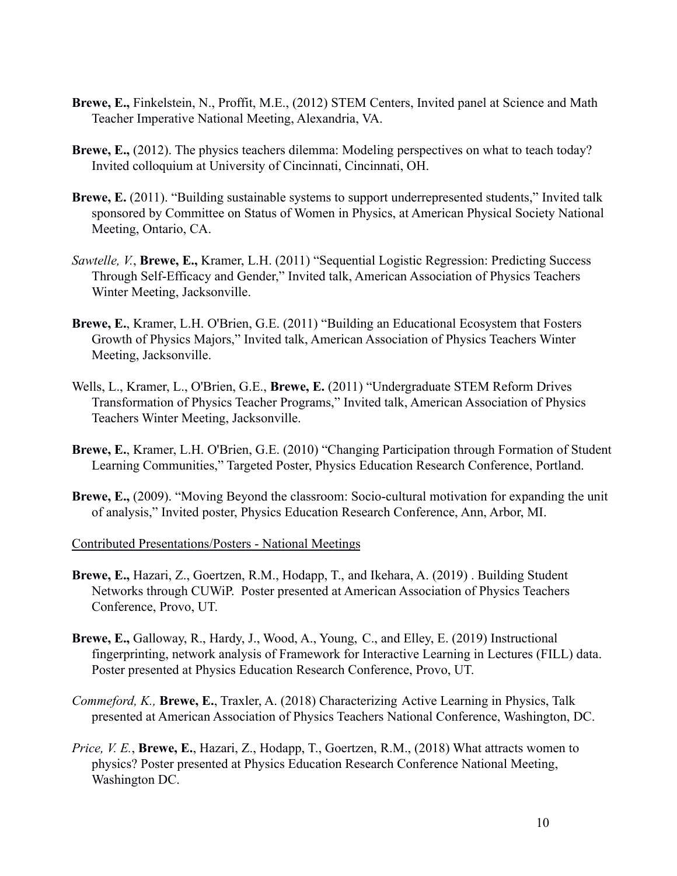- **Brewe, E.,** Finkelstein, N., Proffit, M.E., (2012) STEM Centers, Invited panel at Science and Math Teacher Imperative National Meeting, Alexandria, VA.
- **Brewe, E.,** (2012). The physics teachers dilemma: Modeling perspectives on what to teach today? Invited colloquium at University of Cincinnati, Cincinnati, OH.
- **Brewe, E.** (2011). "Building sustainable systems to support underrepresented students," Invited talk sponsored by Committee on Status of Women in Physics, at American Physical Society National Meeting, Ontario, CA.
- *Sawtelle, V.*, **Brewe, E.,** Kramer, L.H. (2011) "Sequential Logistic Regression: Predicting Success Through Self-Efficacy and Gender," Invited talk, American Association of Physics Teachers Winter Meeting, Jacksonville.
- **Brewe, E.**, Kramer, L.H. O'Brien, G.E. (2011) "Building an Educational Ecosystem that Fosters Growth of Physics Majors," Invited talk, American Association of Physics Teachers Winter Meeting, Jacksonville.
- Wells, L., Kramer, L., O'Brien, G.E., **Brewe, E.** (2011) "Undergraduate STEM Reform Drives Transformation of Physics Teacher Programs," Invited talk, American Association of Physics Teachers Winter Meeting, Jacksonville.
- **Brewe, E.**, Kramer, L.H. O'Brien, G.E. (2010) "Changing Participation through Formation of Student Learning Communities," Targeted Poster, Physics Education Research Conference, Portland.
- **Brewe, E.,** (2009). "Moving Beyond the classroom: Socio-cultural motivation for expanding the unit of analysis," Invited poster, Physics Education Research Conference, Ann, Arbor, MI.

Contributed Presentations/Posters - National Meetings

- **Brewe, E.,** Hazari, Z., Goertzen, R.M., Hodapp, T., and Ikehara, A. (2019) . Building Student Networks through CUWiP. Poster presented at American Association of Physics Teachers Conference, Provo, UT.
- **Brewe, E.,** Galloway, R., Hardy, J., Wood, A., Young, C., and Elley, E. (2019) Instructional fingerprinting, network analysis of Framework for Interactive Learning in Lectures (FILL) data. Poster presented at Physics Education Research Conference, Provo, UT.
- *Commeford, K.,* **Brewe, E.**, Traxler, A. (2018) Characterizing Active Learning in Physics, Talk presented at American Association of Physics Teachers National Conference, Washington, DC.
- *Price, V. E.*, **Brewe, E.**, Hazari, Z., Hodapp, T., Goertzen, R.M., (2018) What attracts women to physics? Poster presented at Physics Education Research Conference National Meeting, Washington DC.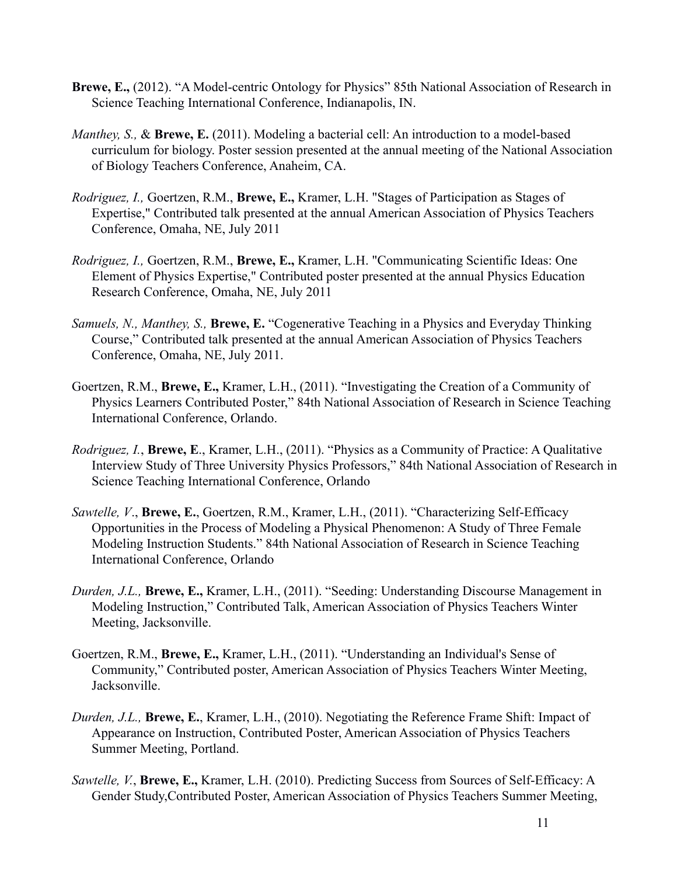- **Brewe, E.,** (2012). "A Model-centric Ontology for Physics" 85th National Association of Research in Science Teaching International Conference, Indianapolis, IN.
- *Manthey, S.,* & **Brewe, E.** (2011). Modeling a bacterial cell: An introduction to a model-based curriculum for biology. Poster session presented at the annual meeting of the National Association of Biology Teachers Conference, Anaheim, CA.
- *Rodriguez, I.,* Goertzen, R.M., **Brewe, E.,** Kramer, L.H. "Stages of Participation as Stages of Expertise," Contributed talk presented at the annual American Association of Physics Teachers Conference, Omaha, NE, July 2011
- *Rodriguez, I.,* Goertzen, R.M., **Brewe, E.,** Kramer, L.H. "Communicating Scientific Ideas: One Element of Physics Expertise," Contributed poster presented at the annual Physics Education Research Conference, Omaha, NE, July 2011
- *Samuels, N., Manthey, S.,* **Brewe, E.** "Cogenerative Teaching in a Physics and Everyday Thinking Course," Contributed talk presented at the annual American Association of Physics Teachers Conference, Omaha, NE, July 2011.
- Goertzen, R.M., **Brewe, E.,** Kramer, L.H., (2011). "Investigating the Creation of a Community of Physics Learners Contributed Poster," 84th National Association of Research in Science Teaching International Conference, Orlando.
- *Rodriguez, I.*, **Brewe, E**., Kramer, L.H., (2011). "Physics as a Community of Practice: A Qualitative Interview Study of Three University Physics Professors," 84th National Association of Research in Science Teaching International Conference, Orlando
- *Sawtelle, V*., **Brewe, E.**, Goertzen, R.M., Kramer, L.H., (2011). "Characterizing Self-Efficacy Opportunities in the Process of Modeling a Physical Phenomenon: A Study of Three Female Modeling Instruction Students." 84th National Association of Research in Science Teaching International Conference, Orlando
- *Durden, J.L.,* **Brewe, E.,** Kramer, L.H., (2011). "Seeding: Understanding Discourse Management in Modeling Instruction," Contributed Talk, American Association of Physics Teachers Winter Meeting, Jacksonville.
- Goertzen, R.M., **Brewe, E.,** Kramer, L.H., (2011). "Understanding an Individual's Sense of Community," Contributed poster, American Association of Physics Teachers Winter Meeting, Jacksonville.
- *Durden, J.L.,* **Brewe, E.**, Kramer, L.H., (2010). Negotiating the Reference Frame Shift: Impact of Appearance on Instruction, Contributed Poster, American Association of Physics Teachers Summer Meeting, Portland.
- *Sawtelle, V.*, **Brewe, E.,** Kramer, L.H. (2010). Predicting Success from Sources of Self-Efficacy: A Gender Study,Contributed Poster, American Association of Physics Teachers Summer Meeting,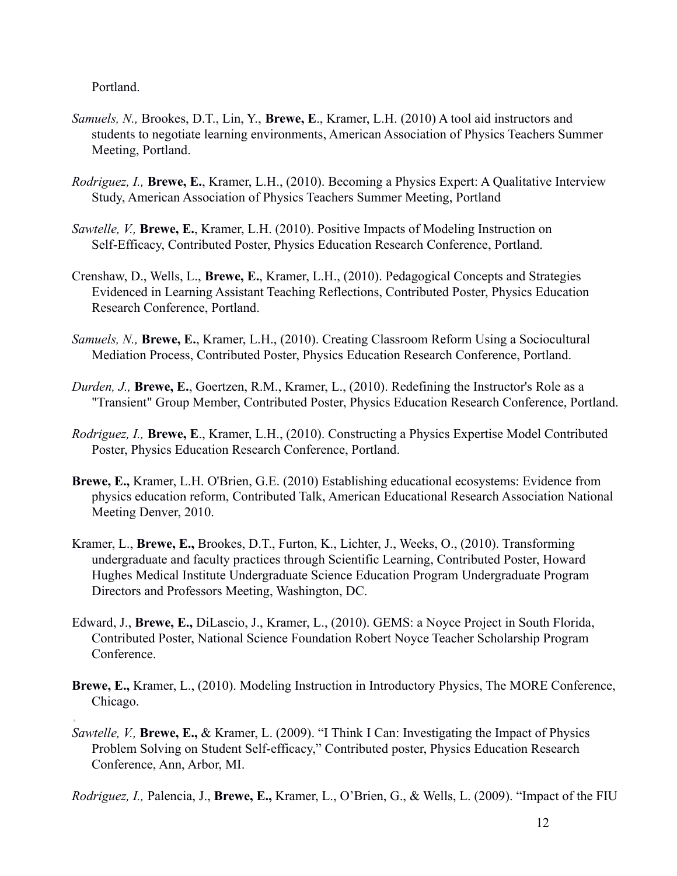Portland.

- *Samuels, N.,* Brookes, D.T., Lin, Y., **Brewe, E**., Kramer, L.H. (2010) A tool aid instructors and students to negotiate learning environments, American Association of Physics Teachers Summer Meeting, Portland.
- *Rodriguez, I.,* **Brewe, E.**, Kramer, L.H., (2010). Becoming a Physics Expert: A Qualitative Interview Study, American Association of Physics Teachers Summer Meeting, Portland
- *Sawtelle, V.,* **Brewe, E.**, Kramer, L.H. (2010). Positive Impacts of Modeling Instruction on Self-Efficacy, Contributed Poster, Physics Education Research Conference, Portland.
- Crenshaw, D., Wells, L., **Brewe, E.**, Kramer, L.H., (2010). Pedagogical Concepts and Strategies Evidenced in Learning Assistant Teaching Reflections, Contributed Poster, Physics Education Research Conference, Portland.
- *Samuels, N.,* **Brewe, E.**, Kramer, L.H., (2010). Creating Classroom Reform Using a Sociocultural Mediation Process, Contributed Poster, Physics Education Research Conference, Portland.
- *Durden, J.,* **Brewe, E.**, Goertzen, R.M., Kramer, L., (2010). Redefining the Instructor's Role as a "Transient" Group Member, Contributed Poster, Physics Education Research Conference, Portland.
- *Rodriguez, I.,* **Brewe, E**., Kramer, L.H., (2010). Constructing a Physics Expertise Model Contributed Poster, Physics Education Research Conference, Portland.
- **Brewe, E.,** Kramer, L.H. O'Brien, G.E. (2010) Establishing educational ecosystems: Evidence from physics education reform, Contributed Talk, American Educational Research Association National Meeting Denver, 2010.
- Kramer, L., **Brewe, E.,** Brookes, D.T., Furton, K., Lichter, J., Weeks, O., (2010). Transforming undergraduate and faculty practices through Scientific Learning, Contributed Poster, Howard Hughes Medical Institute Undergraduate Science Education Program Undergraduate Program Directors and Professors Meeting, Washington, DC.
- Edward, J., **Brewe, E.,** DiLascio, J., Kramer, L., (2010). GEMS: a Noyce Project in South Florida, Contributed Poster, National Science Foundation Robert Noyce Teacher Scholarship Program **Conference**
- **Brewe, E.,** Kramer, L., (2010). Modeling Instruction in Introductory Physics, The MORE Conference, Chicago.
- *Sawtelle, V.,* **Brewe, E.,** & Kramer, L. (2009). "I Think I Can: Investigating the Impact of Physics Problem Solving on Student Self-efficacy," Contributed poster, Physics Education Research Conference, Ann, Arbor, MI.

*Rodriguez, I.,* Palencia, J., **Brewe, E.,** Kramer, L., O'Brien, G., & Wells, L. (2009). "Impact of the FIU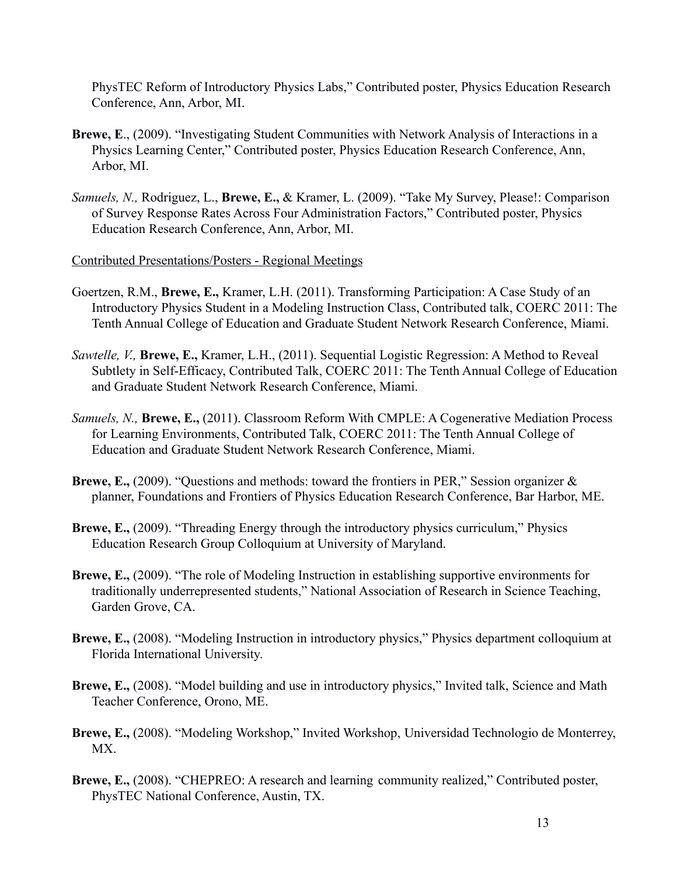PhysTEC Reform of Introductory Physics Labs," Contributed poster, Physics Education Research Conference, Ann, Arbor, MI.

- **Brewe, E**., (2009). "Investigating Student Communities with Network Analysis of Interactions in a Physics Learning Center," Contributed poster, Physics Education Research Conference, Ann, Arbor, MI.
- *Samuels, N.,* Rodriguez, L., **Brewe, E.,** & Kramer, L. (2009). "Take My Survey, Please!: Comparison of Survey Response Rates Across Four Administration Factors," Contributed poster, Physics Education Research Conference, Ann, Arbor, MI.

#### Contributed Presentations/Posters - Regional Meetings

- Goertzen, R.M., **Brewe, E.,** Kramer, L.H. (2011). Transforming Participation: A Case Study of an Introductory Physics Student in a Modeling Instruction Class, Contributed talk, COERC 2011: The Tenth Annual College of Education and Graduate Student Network Research Conference, Miami.
- *Sawtelle, V.,* **Brewe, E.,** Kramer, L.H., (2011). Sequential Logistic Regression: A Method to Reveal Subtlety in Self-Efficacy, Contributed Talk, COERC 2011: The Tenth Annual College of Education and Graduate Student Network Research Conference, Miami.
- *Samuels, N.,* **Brewe, E.,** (2011). Classroom Reform With CMPLE: A Cogenerative Mediation Process for Learning Environments, Contributed Talk, COERC 2011: The Tenth Annual College of Education and Graduate Student Network Research Conference, Miami.
- **Brewe, E.,** (2009). "Questions and methods: toward the frontiers in PER," Session organizer & planner, Foundations and Frontiers of Physics Education Research Conference, Bar Harbor, ME.
- **Brewe, E.,** (2009). "Threading Energy through the introductory physics curriculum," Physics Education Research Group Colloquium at University of Maryland.
- **Brewe, E.,** (2009). "The role of Modeling Instruction in establishing supportive environments for traditionally underrepresented students," National Association of Research in Science Teaching, Garden Grove, CA.
- **Brewe, E.,** (2008). "Modeling Instruction in introductory physics," Physics department colloquium at Florida International University.
- **Brewe, E.,** (2008). "Model building and use in introductory physics," Invited talk, Science and Math Teacher Conference, Orono, ME.
- **Brewe, E.,** (2008). "Modeling Workshop," Invited Workshop, Universidad Technologio de Monterrey, MX.
- **Brewe, E.,** (2008). "CHEPREO: A research and learning community realized," Contributed poster, PhysTEC National Conference, Austin, TX.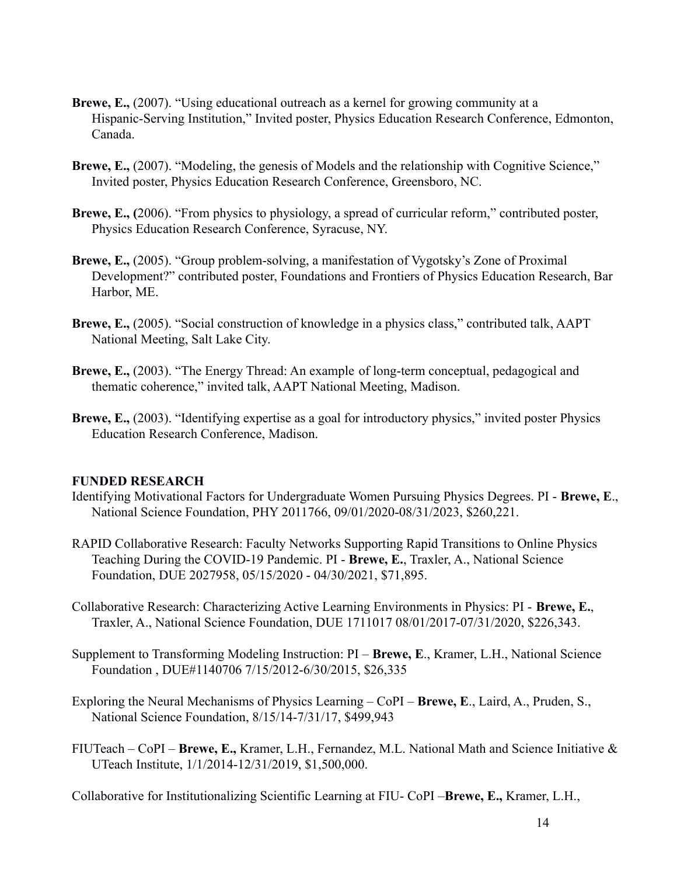- **Brewe, E.,** (2007). "Using educational outreach as a kernel for growing community at a Hispanic-Serving Institution," Invited poster, Physics Education Research Conference, Edmonton, Canada.
- **Brewe, E.,** (2007). "Modeling, the genesis of Models and the relationship with Cognitive Science," Invited poster, Physics Education Research Conference, Greensboro, NC.
- **Brewe, E., (**2006). "From physics to physiology, a spread of curricular reform," contributed poster, Physics Education Research Conference, Syracuse, NY.
- **Brewe, E.,** (2005). "Group problem-solving, a manifestation of Vygotsky's Zone of Proximal Development?" contributed poster, Foundations and Frontiers of Physics Education Research, Bar Harbor, ME.
- **Brewe, E.,** (2005). "Social construction of knowledge in a physics class," contributed talk, AAPT National Meeting, Salt Lake City.
- **Brewe, E.,** (2003). "The Energy Thread: An example of long-term conceptual, pedagogical and thematic coherence," invited talk, AAPT National Meeting, Madison.
- **Brewe, E.,** (2003). "Identifying expertise as a goal for introductory physics," invited poster Physics Education Research Conference, Madison.

# **FUNDED RESEARCH**

- Identifying Motivational Factors for Undergraduate Women Pursuing Physics Degrees. PI **Brewe, E**., National Science Foundation, PHY 2011766, 09/01/2020-08/31/2023, \$260,221.
- RAPID Collaborative Research: Faculty Networks Supporting Rapid Transitions to Online Physics Teaching During the COVID-19 Pandemic. PI - **Brewe, E.**, Traxler, A., National Science Foundation, DUE 2027958, 05/15/2020 - 04/30/2021, \$71,895.
- Collaborative Research: Characterizing Active Learning Environments in Physics: PI **Brewe, E.**, Traxler, A., National Science Foundation, DUE 1711017 08/01/2017-07/31/2020, \$226,343.
- Supplement to Transforming Modeling Instruction: PI **Brewe, E**., Kramer, L.H., National Science Foundation , DUE#1140706 7/15/2012-6/30/2015, \$26,335
- Exploring the Neural Mechanisms of Physics Learning CoPI **Brewe, E**., Laird, A., Pruden, S., National Science Foundation, 8/15/14-7/31/17, \$499,943
- FIUTeach CoPI **Brewe, E.,** Kramer, L.H., Fernandez, M.L. National Math and Science Initiative & UTeach Institute, 1/1/2014-12/31/2019, \$1,500,000.

Collaborative for Institutionalizing Scientific Learning at FIU- CoPI –**Brewe, E.,** Kramer, L.H.,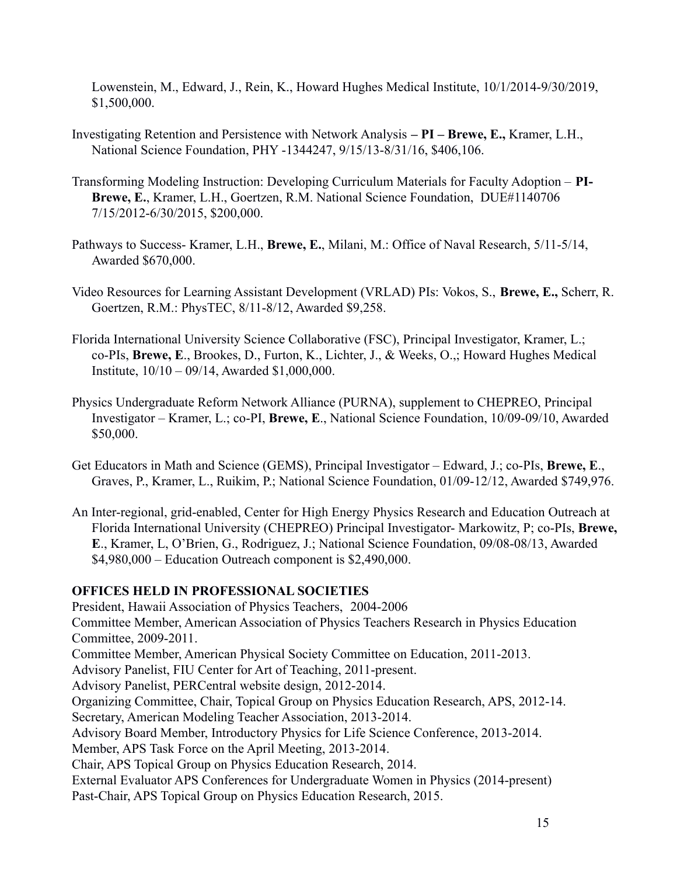Lowenstein, M., Edward, J., Rein, K., Howard Hughes Medical Institute, 10/1/2014-9/30/2019, \$1,500,000.

- Investigating Retention and Persistence with Network Analysis  **PI Brewe, E.,** Kramer, L.H., National Science Foundation, PHY -1344247, 9/15/13-8/31/16, \$406,106.
- Transforming Modeling Instruction: Developing Curriculum Materials for Faculty Adoption **PI-Brewe, E.**, Kramer, L.H., Goertzen, R.M. National Science Foundation, DUE#1140706 7/15/2012-6/30/2015, \$200,000.
- Pathways to Success- Kramer, L.H., **Brewe, E.**, Milani, M.: Office of Naval Research, 5/11-5/14, Awarded \$670,000.
- Video Resources for Learning Assistant Development (VRLAD) PIs: Vokos, S., **Brewe, E.,** Scherr, R. Goertzen, R.M.: PhysTEC, 8/11-8/12, Awarded \$9,258.
- Florida International University Science Collaborative (FSC), Principal Investigator, Kramer, L.; co-PIs, **Brewe, E**., Brookes, D., Furton, K., Lichter, J., & Weeks, O.,; Howard Hughes Medical Institute, 10/10 – 09/14, Awarded \$1,000,000.
- Physics Undergraduate Reform Network Alliance (PURNA), supplement to CHEPREO, Principal Investigator – Kramer, L.; co-PI, **Brewe, E**., National Science Foundation, 10/09-09/10, Awarded \$50,000.
- Get Educators in Math and Science (GEMS), Principal Investigator Edward, J.; co-PIs, **Brewe, E**., Graves, P., Kramer, L., Ruikim, P.; National Science Foundation, 01/09-12/12, Awarded \$749,976.
- An Inter-regional, grid-enabled, Center for High Energy Physics Research and Education Outreach at Florida International University (CHEPREO) Principal Investigator- Markowitz, P; co-PIs, **Brewe, E**., Kramer, L, O'Brien, G., Rodriguez, J.; National Science Foundation, 09/08-08/13, Awarded \$4,980,000 – Education Outreach component is \$2,490,000.

# **OFFICES HELD IN PROFESSIONAL SOCIETIES**

President, Hawaii Association of Physics Teachers, 2004-2006 Committee Member, American Association of Physics Teachers Research in Physics Education Committee, 2009-2011. Committee Member, American Physical Society Committee on Education, 2011-2013. Advisory Panelist, FIU Center for Art of Teaching, 2011-present. Advisory Panelist, PERCentral website design, 2012-2014. Organizing Committee, Chair, Topical Group on Physics Education Research, APS, 2012-14. Secretary, American Modeling Teacher Association, 2013-2014. Advisory Board Member, Introductory Physics for Life Science Conference, 2013-2014. Member, APS Task Force on the April Meeting, 2013-2014. Chair, APS Topical Group on Physics Education Research, 2014. External Evaluator APS Conferences for Undergraduate Women in Physics (2014-present) Past-Chair, APS Topical Group on Physics Education Research, 2015.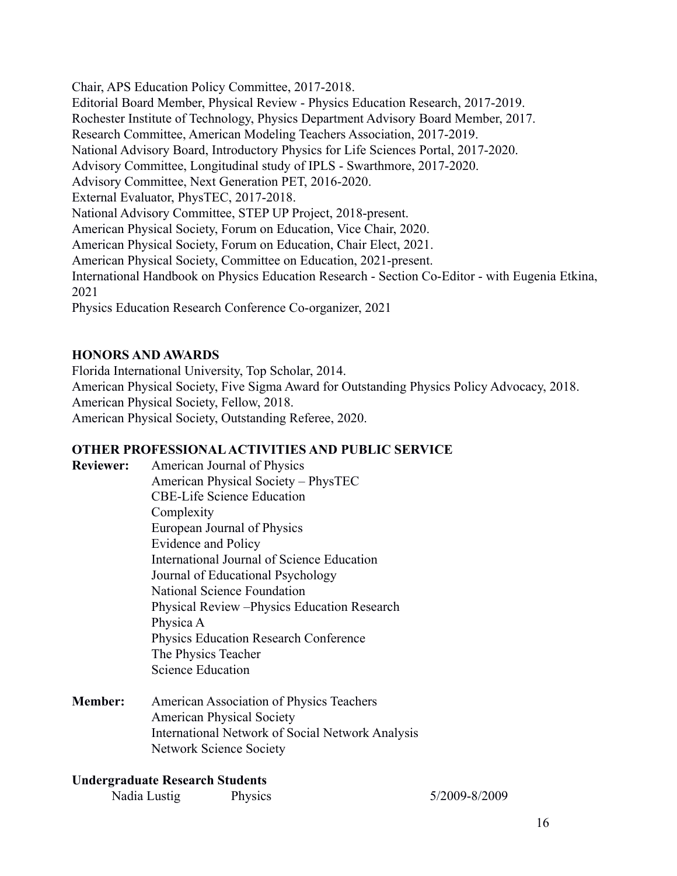Chair, APS Education Policy Committee, 2017-2018.

Editorial Board Member, Physical Review - Physics Education Research, 2017-2019.

Rochester Institute of Technology, Physics Department Advisory Board Member, 2017.

Research Committee, American Modeling Teachers Association, 2017-2019.

National Advisory Board, Introductory Physics for Life Sciences Portal, 2017-2020.

Advisory Committee, Longitudinal study of IPLS - Swarthmore, 2017-2020.

Advisory Committee, Next Generation PET, 2016-2020.

External Evaluator, PhysTEC, 2017-2018.

National Advisory Committee, STEP UP Project, 2018-present.

American Physical Society, Forum on Education, Vice Chair, 2020.

American Physical Society, Forum on Education, Chair Elect, 2021.

American Physical Society, Committee on Education, 2021-present.

International Handbook on Physics Education Research - Section Co-Editor - with Eugenia Etkina, 2021

Physics Education Research Conference Co-organizer, 2021

# **HONORS AND AWARDS**

Florida International University, Top Scholar, 2014. American Physical Society, Five Sigma Award for Outstanding Physics Policy Advocacy, 2018. American Physical Society, Fellow, 2018. American Physical Society, Outstanding Referee, 2020.

# **OTHER PROFESSIONAL ACTIVITIES AND PUBLIC SERVICE**

**Reviewer:** American Journal of Physics American Physical Society – PhysTEC CBE-Life Science Education Complexity European Journal of Physics Evidence and Policy International Journal of Science Education Journal of Educational Psychology National Science Foundation Physical Review –Physics Education Research Physica A Physics Education Research Conference The Physics Teacher Science Education

**Member:** American Association of Physics Teachers American Physical Society International Network of Social Network Analysis Network Science Society

# **Undergraduate Research Students**

Nadia Lustig Physics 5/2009-8/2009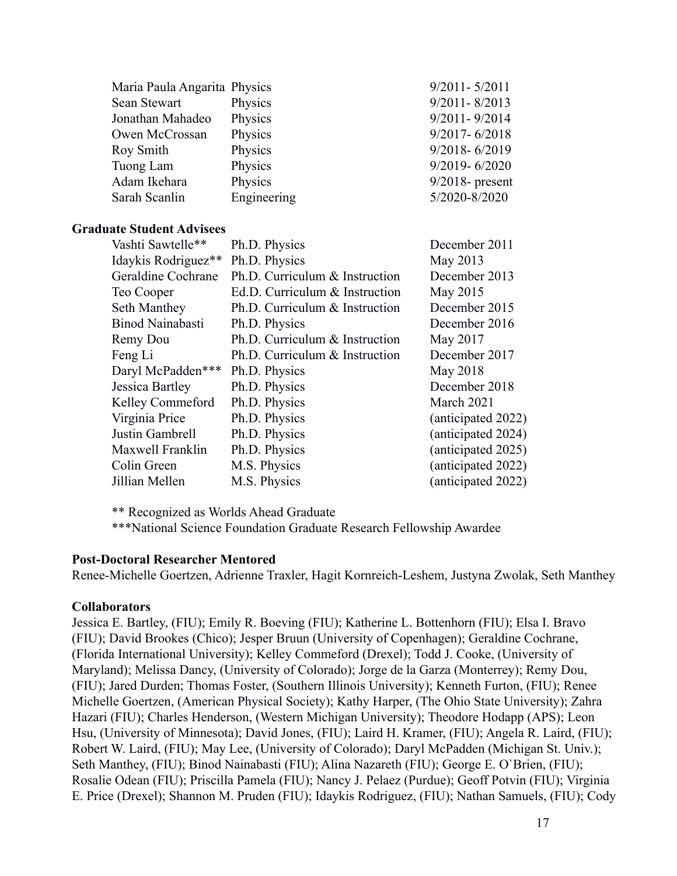| Maria Paula Angarita Physics     |                                | $9/2011 - 5/2011$  |
|----------------------------------|--------------------------------|--------------------|
| Sean Stewart                     | Physics                        | $9/2011 - 8/2013$  |
| Jonathan Mahadeo                 | Physics                        | $9/2011 - 9/2014$  |
| Owen McCrossan                   | Physics                        | $9/2017 - 6/2018$  |
| Roy Smith                        | Physics                        | $9/2018 - 6/2019$  |
| Tuong Lam                        | Physics                        | $9/2019 - 6/2020$  |
| Adam Ikehara                     | Physics                        | $9/2018$ - present |
| Sarah Scanlin                    | Engineering                    | 5/2020-8/2020      |
| <b>Graduate Student Advisees</b> |                                |                    |
| Vashti Sawtelle**                | Ph.D. Physics                  | December 2011      |
| Idaykis Rodriguez**              | Ph.D. Physics                  | May 2013           |
| Geraldine Cochrane               | Ph.D. Curriculum & Instruction | December 2013      |
| Teo Cooper                       | Ed.D. Curriculum & Instruction | May 2015           |
| Seth Manthey                     | Ph.D. Curriculum & Instruction | December 2015      |
| <b>Binod Nainabasti</b>          | Ph.D. Physics                  | December 2016      |
| Remy Dou                         | Ph.D. Curriculum & Instruction | May 2017           |
| Feng Li                          | Ph.D. Curriculum & Instruction | December 2017      |
| Daryl McPadden***                | Ph.D. Physics                  | May 2018           |
| Jessica Bartley                  | Ph.D. Physics                  | December 2018      |
| Kelley Commeford                 | Ph.D. Physics                  | March 2021         |
| Virginia Price                   | Ph.D. Physics                  | (anticipated 2022) |
| Justin Gambrell                  | Ph.D. Physics                  | (anticipated 2024) |
| Maxwell Franklin                 | Ph.D. Physics                  | (anticipated 2025) |
| Colin Green                      | M.S. Physics                   | (anticipated 2022) |
| Jillian Mellen                   | M.S. Physics                   | anticipated 2022)  |

\*\* Recognized as Worlds Ahead Graduate

\*\*\*National Science Foundation Graduate Research Fellowship Awardee

#### **Post-Doctoral Researcher Mentored**

Renee-Michelle Goertzen, Adrienne Traxler, Hagit Kornreich-Leshem, Justyna Zwolak, Seth Manthey

# **Collaborators**

Jessica E. Bartley, (FIU); Emily R. Boeving (FIU); Katherine L. Bottenhorn (FIU); Elsa I. Bravo (FIU); David Brookes (Chico); Jesper Bruun (University of Copenhagen); Geraldine Cochrane, (Florida International University); Kelley Commeford (Drexel); Todd J. Cooke, (University of Maryland); Melissa Dancy, (University of Colorado); Jorge de la Garza (Monterrey); Remy Dou, (FIU); Jared Durden; Thomas Foster, (Southern Illinois University); Kenneth Furton, (FIU); Renee Michelle Goertzen, (American Physical Society); Kathy Harper, (The Ohio State University); Zahra Hazari (FIU); Charles Henderson, (Western Michigan University); Theodore Hodapp (APS); Leon Hsu, (University of Minnesota); David Jones, (FIU); Laird H. Kramer, (FIU); Angela R. Laird, (FIU); Robert W. Laird, (FIU); May Lee, (University of Colorado); Daryl McPadden (Michigan St. Univ.); Seth Manthey, (FIU); Binod Nainabasti (FIU); Alina Nazareth (FIU); George E. O`Brien, (FIU); Rosalie Odean (FIU); Priscilla Pamela (FIU); Nancy J. Pelaez (Purdue); Geoff Potvin (FIU); Virginia E. Price (Drexel); Shannon M. Pruden (FIU); Idaykis Rodriguez, (FIU); Nathan Samuels, (FIU); Cody